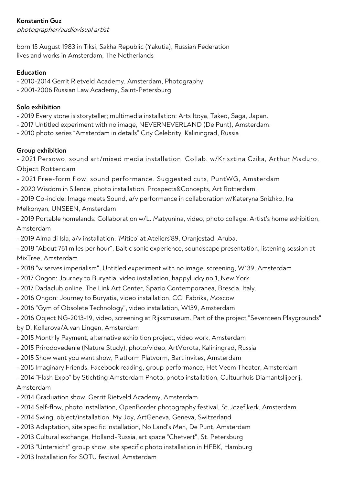## **Konstantin Guz**

photographer/audiovisual artist

born 15 August 1983 in Tiksi, Sakha Republic (Yakutia), Russian Federation lives and works in Amsterdam, The Netherlands

#### **Education**

- 2010-2014 Gerrit Rietveld Academy, Amsterdam, Photography
- 2001-2006 Russian Law Academy, Saint-Petersburg

#### **Solo exhibition**

- 2019 Every stone is storyteller; multimedia installation; Arts Itoya, Takeo, Saga, Japan.
- 2017 Untitled experiment with no image, NEVERNEVERLAND (De Punt), Amsterdam.
- 2010 photo series "Amsterdam in details" City Celebrity, Kaliningrad, Russia

#### **Group exhibition**

- 2021 Persowo, sound art/mixed media installation. Collab. w/Krisztina Czika, Arthur Maduro. Object Rotterdam

- 2021 Free-form flow, sound performance. Suggested cuts, PuntWG, Amsterdam
- 2020 Wisdom in Silence, photo installation. Prospects&Concepts, Art Rotterdam.

- 2019 Co-incide: Image meets Sound, a/v performance in collaboration w/Kateryna Snizhko, Ira Melkonyan, UNSEEN, Amsterdam

- 2019 Portable homelands. Collaboration w/L. Matyunina, video, photo collage; Artist's home exhibition, Amsterdam

- 2019 Alma di Isla, a/v installation. 'Mitico' at Ateliers'89, Oranjestad, Aruba.

- 2018 "About 761 miles per hour", Baltic sonic experience, soundscape presentation, listening session at MixTree, Amsterdam

- 2018 "w serves imperialism", Untitled experiment with no image, screening, W139, Amsterdam
- 2017 Ongon: Journey to Buryatia, video installation, happylucky no.1, New York.
- 2017 Dadaclub.online. The Link Art Center, Spazio Contemporanea, Brescia, Italy.
- 2016 Ongon: Journey to Buryatia, video installation, CCI Fabrika, Moscow
- 2016 "Gym of Obsolete Technology", video installation, W139, Amsterdam

- 2016 Object NG-2013-19, video, screening at Rijksmuseum. Part of the project "Seventeen Playgrounds" by D. Kollarova/A.van Lingen, Amsterdam

- 2015 Monthly Payment, alternative exhibition project, video work, Amsterdam
- 2015 Prirodovedenie (Nature Study), photo/video, ArtVorota, Kaliningrad, Russia
- 2015 Show want you want show, Platform Platvorm, Bart invites, Amsterdam
- 2015 Imaginary Friends, Facebook reading, group performance, Het Veem Theater, Amsterdam
- 2014 "Flash Expo" by Stichting Amsterdam Photo, photo installation, Cultuurhuis Diamantslijperij,

# Amsterdam

- 2014 Graduation show, Gerrit Rietveld Academy, Amsterdam
- 2014 Self-flow, photo installation, OpenBorder photography festival, St.Jozef kerk, Amsterdam
- 2014 Swing, object/installation, My Joy, ArtGeneva, Geneva, Switzerland
- 2013 Adaptation, site specific installation, No Land's Men, De Punt, Amsterdam
- 2013 Cultural exchange, Holland-Russia, art space "Chetvert", St. Petersburg
- 2013 "Untersicht" group show, site specific photo installation in HFBK, Hamburg
- 2013 Installation for SOTU festival, Amsterdam